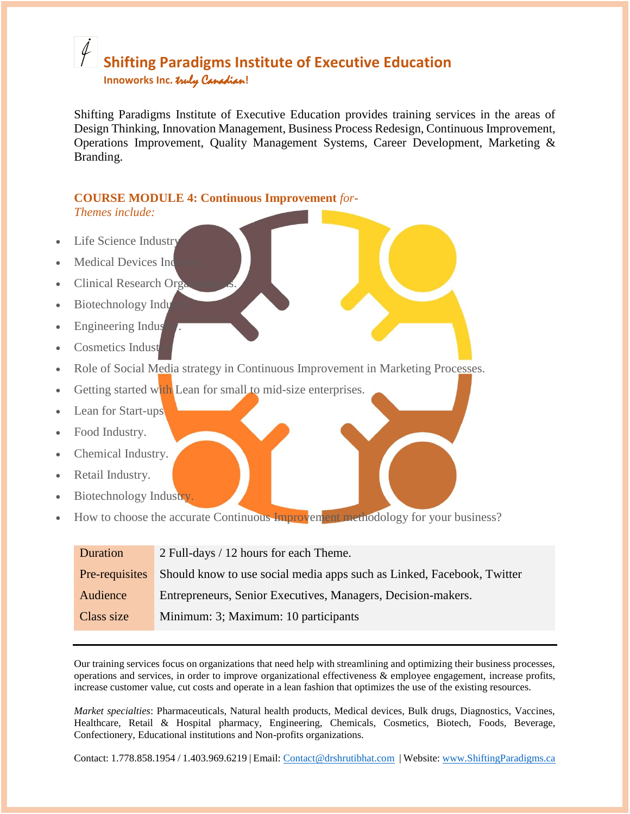## **Shifting Paradigms Institute of Executive Education Innoworks Inc.** truly Canadian**!**

Shifting Paradigms Institute of Executive Education provides training services in the areas of Design Thinking, Innovation Management, Business Process Redesign, Continuous Improvement, Operations Improvement, Quality Management Systems, Career Development, Marketing & Branding.

#### **COURSE MODULE 4: Continuous Improvement** *for***-***Themes include:*

- Life Science Industry
- **Medical Devices Ind**
- **Clinical Research Organizations**
- Biotechnology Indu
- **Engineering Indus**
- Cosmetics Indust
- Role of Social Media strategy in Continuous Improvement in Marketing Processes.

Getting started with Lean for small to mid-size enterprises.

- Lean for Start-ups
- Food Industry.
- Chemical Industry.
- Retail Industry.
- Biotechnology Industry.
- How to choose the accurate Continuous Improvement methodology for your business?

| Duration       | 2 Full-days / 12 hours for each Theme.                                 |
|----------------|------------------------------------------------------------------------|
| Pre-requisites | Should know to use social media apps such as Linked, Facebook, Twitter |
| Audience       | Entrepreneurs, Senior Executives, Managers, Decision-makers.           |
| Class size     | Minimum: 3; Maximum: 10 participants                                   |

Our training services focus on organizations that need help with streamlining and optimizing their business processes, operations and services, in order to improve organizational effectiveness & employee engagement, increase profits, increase customer value, cut costs and operate in a lean fashion that optimizes the use of the existing resources.

*Market specialties*: Pharmaceuticals, Natural health products, Medical devices, Bulk drugs, Diagnostics, Vaccines, Healthcare, Retail & Hospital pharmacy, Engineering, Chemicals, Cosmetics, Biotech, Foods, Beverage, Confectionery, Educational institutions and Non-profits organizations.

Contact: 1.778.858.1954 / 1.403.969.6219 | Email: [Contact@drshrutibhat.com](mailto:Contact@drshrutibhat.com) | Website: [www.ShiftingParadigms.ca](http://www.shiftingparadigms.ca/)